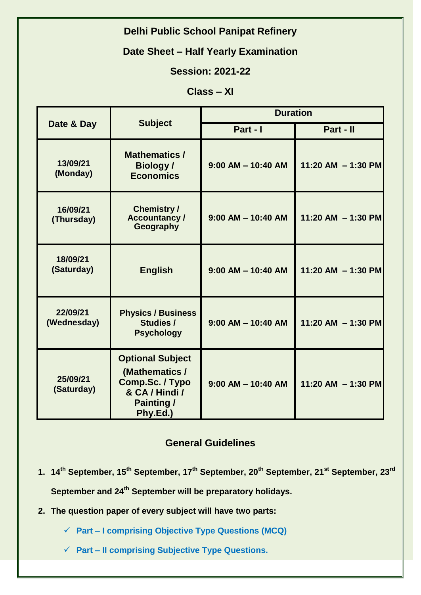# **Delhi Public School Panipat Refinery**

#### **Date Sheet – Half Yearly Examination**

## **Session: 2021-22**

## **Class – XI**

| Date & Day              | <b>Subject</b>                                                                                                  | <b>Duration</b>        |                      |
|-------------------------|-----------------------------------------------------------------------------------------------------------------|------------------------|----------------------|
|                         |                                                                                                                 | Part - I               | Part - II            |
| 13/09/21<br>(Monday)    | <b>Mathematics /</b><br><b>Biology</b> /<br><b>Economics</b>                                                    | $9:00$ AM $-$ 10:40 AM | 11:20 AM $-$ 1:30 PM |
| 16/09/21<br>(Thursday)  | <b>Chemistry/</b><br><b>Accountancy/</b><br>Geography                                                           | $9:00$ AM $-$ 10:40 AM | 11:20 AM $-$ 1:30 PM |
| 18/09/21<br>(Saturday)  | <b>English</b>                                                                                                  | $9:00$ AM $-$ 10:40 AM | 11:20 AM $-$ 1:30 PM |
| 22/09/21<br>(Wednesday) | <b>Physics / Business</b><br><b>Studies /</b><br><b>Psychology</b>                                              | $9:00$ AM $-$ 10:40 AM | 11:20 AM $-$ 1:30 PM |
| 25/09/21<br>(Saturday)  | <b>Optional Subject</b><br>(Mathematics /<br>Comp.Sc. / Typo<br>& CA / Hindi /<br><b>Painting /</b><br>Phy.Ed.) | $9:00$ AM $-$ 10:40 AM | 11:20 AM $-$ 1:30 PM |

#### **General Guidelines**

- **1. 14th September, 15th September, 17th September, 20th September, 21st September, 23rd September and 24th September will be preparatory holidays.**
- **2. The question paper of every subject will have two parts:**

**Part – I comprising Objective Type Questions (MCQ)**

**Part – II comprising Subjective Type Questions.**